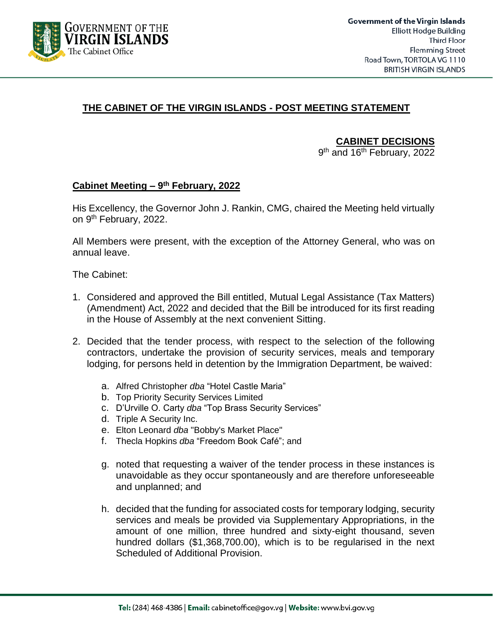

## **THE CABINET OF THE VIRGIN ISLANDS - POST MEETING STATEMENT**

**CABINET DECISIONS**

9<sup>th</sup> and 16<sup>th</sup> February, 2022

#### **Cabinet Meeting – 9 th February, 2022**

His Excellency, the Governor John J. Rankin, CMG, chaired the Meeting held virtually on 9<sup>th</sup> February, 2022.

All Members were present, with the exception of the Attorney General, who was on annual leave.

The Cabinet:

- 1. Considered and approved the Bill entitled, Mutual Legal Assistance (Tax Matters) (Amendment) Act, 2022 and decided that the Bill be introduced for its first reading in the House of Assembly at the next convenient Sitting.
- 2. Decided that the tender process, with respect to the selection of the following contractors, undertake the provision of security services, meals and temporary lodging, for persons held in detention by the Immigration Department, be waived:
	- a. Alfred Christopher *dba* "Hotel Castle Maria"
	- b. Top Priority Security Services Limited
	- c. D'Urville O. Carty *dba* "Top Brass Security Services"
	- d. Triple A Security Inc.
	- e. Elton Leonard *dba* "Bobby's Market Place"
	- f. Thecla Hopkins *dba* "Freedom Book Café"; and
	- g. noted that requesting a waiver of the tender process in these instances is unavoidable as they occur spontaneously and are therefore unforeseeable and unplanned; and
	- h. decided that the funding for associated costs for temporary lodging, security services and meals be provided via Supplementary Appropriations, in the amount of one million, three hundred and sixty-eight thousand, seven hundred dollars (\$1,368,700.00), which is to be regularised in the next Scheduled of Additional Provision.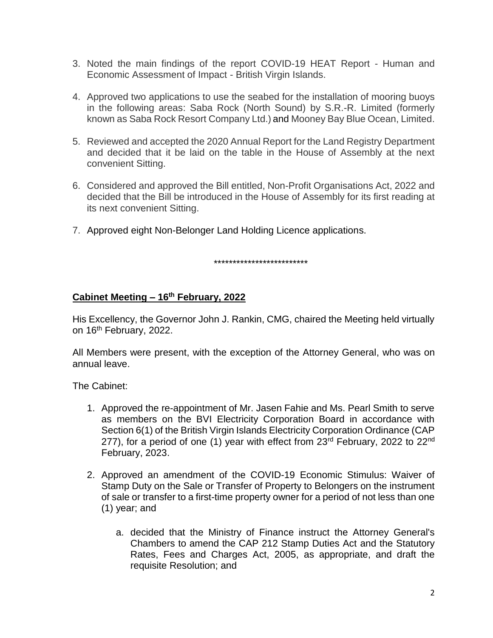- 3. Noted the main findings of the report COVID-19 HEAT Report Human and Economic Assessment of Impact - British Virgin Islands.
- 4. Approved two applications to use the seabed for the installation of mooring buoys in the following areas: Saba Rock (North Sound) by S.R.-R. Limited (formerly known as Saba Rock Resort Company Ltd.) and Mooney Bay Blue Ocean, Limited.
- 5. Reviewed and accepted the 2020 Annual Report for the Land Registry Department and decided that it be laid on the table in the House of Assembly at the next convenient Sitting.
- 6. Considered and approved the Bill entitled, Non-Profit Organisations Act, 2022 and decided that the Bill be introduced in the House of Assembly for its first reading at its next convenient Sitting.
- 7. Approved eight Non-Belonger Land Holding Licence applications.

\*\*\*\*\*\*\*\*\*\*\*\*\*\*\*\*\*\*\*\*\*\*\*\*\*

### **Cabinet Meeting – 16th February, 2022**

His Excellency, the Governor John J. Rankin, CMG, chaired the Meeting held virtually on 16<sup>th</sup> February, 2022.

All Members were present, with the exception of the Attorney General, who was on annual leave.

The Cabinet:

- 1. Approved the re-appointment of Mr. Jasen Fahie and Ms. Pearl Smith to serve as members on the BVI Electricity Corporation Board in accordance with Section 6(1) of the British Virgin Islands Electricity Corporation Ordinance (CAP 277), for a period of one (1) year with effect from  $23<sup>rd</sup>$  February, 2022 to  $22<sup>nd</sup>$ February, 2023.
- 2. Approved an amendment of the COVID-19 Economic Stimulus: Waiver of Stamp Duty on the Sale or Transfer of Property to Belongers on the instrument of sale or transfer to a first-time property owner for a period of not less than one (1) year; and
	- a. decided that the Ministry of Finance instruct the Attorney General's Chambers to amend the CAP 212 Stamp Duties Act and the Statutory Rates, Fees and Charges Act, 2005, as appropriate, and draft the requisite Resolution; and